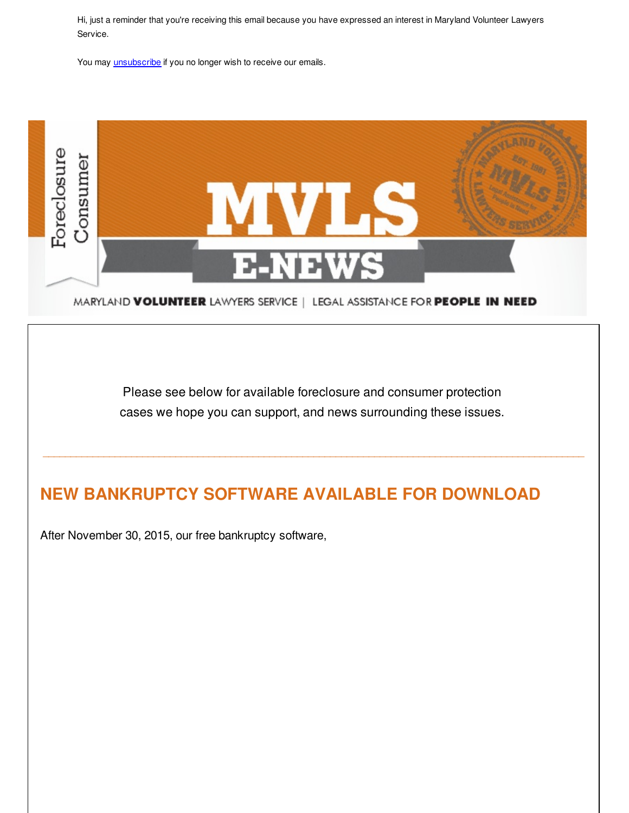Hi, just a reminder that you're receiving this email because you have expressed an interest in Maryland Volunteer Lawyers Service.

You may **[unsubscribe](http://visitor.constantcontact.com/do?p=un&m=0016dg6FiqVpZcjM2XpRklXvg%3D%3D&ch=&ca=00000000-0000-0000-0000-000000000000)** if you no longer wish to receive our emails.



MARYLAND VOLUNTEER LAWYERS SERVICE | LEGAL ASSISTANCE FOR PEOPLE IN NEED

Please see below for available foreclosure and consumer protection cases we hope you can support, and news surrounding these issues.

\_\_\_\_\_\_\_\_\_\_\_\_\_\_\_\_\_\_\_\_\_\_\_\_\_\_\_\_\_\_\_\_\_\_\_\_\_\_\_\_\_\_\_\_\_\_\_\_\_\_\_\_\_\_\_\_\_\_\_\_\_\_\_\_\_\_\_\_\_\_\_\_\_\_\_\_\_\_\_\_\_\_\_\_\_\_\_\_\_\_\_\_\_\_\_\_\_\_

## **NEW BANKRUPTCY SOFTWARE AVAILABLE FOR DOWNLOAD**

After November 30, 2015, our free bankruptcy software,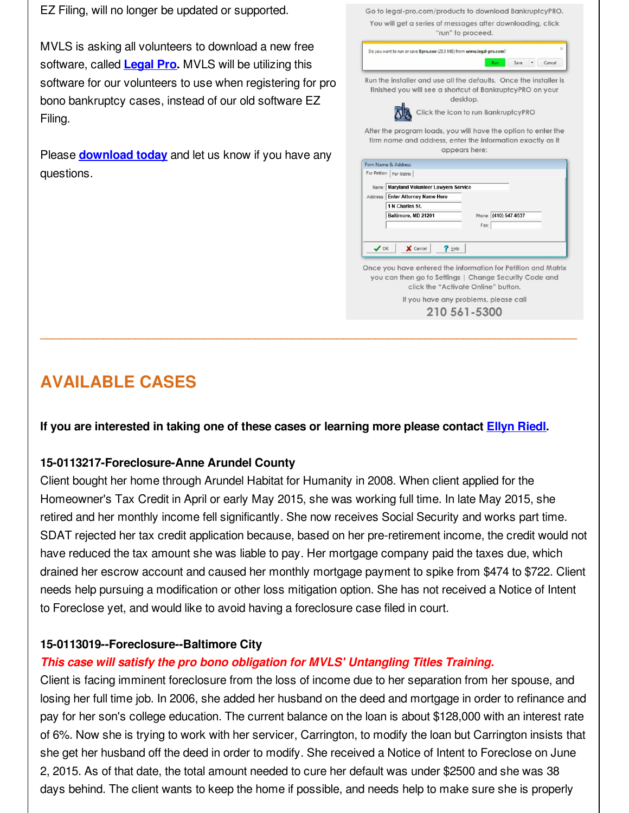EZ Filing, will no longer be updated or supported.

MVLS is asking all volunteers to download a new free software, called **[Legal](http://r20.rs6.net/tn.jsp?f=001y1ltD-1ldJDzDiVwNHG-Es5HooYJqU2RTJRjSvwn_LiyjeQXwVNZuDQKy5JbFVnjPLQBlgqo_jPcxwW5f4lhIre28Fq3CSBiKodwRkoM1j5g0FoXRankS3YyFePHKsrYklvg2v2ec5TiXEZnwhGDU_T_iAKEV3OdCLcyzeUcIUBN0iW1L1oh2aZp0Uml0rZTwzg-Oam6ddTeNEFxIXd4ebhItvxDKXksFn68y3xzghMyaRVXU5p-AAdzKyZ0ikLpcls-0bA7XirD96FYoLx7FxI3j349GtpLNmW6qow5Iz8_V3K3LQENoCMco4GqNVK8y0ETaIrZuK3AMO2DZR6EIwRH_h50jIlWlh0WlwiudUZZ-Nasu5i6OEhiDS2RisyO&c=&ch=) Pro.** MVLS will be utilizing this software for our volunteers to use when registering for pro bono bankruptcy cases, instead of our old software EZ Filing.

Please **[download](http://r20.rs6.net/tn.jsp?f=001y1ltD-1ldJDzDiVwNHG-Es5HooYJqU2RTJRjSvwn_LiyjeQXwVNZuDQKy5JbFVnjPLQBlgqo_jPcxwW5f4lhIre28Fq3CSBiKodwRkoM1j5g0FoXRankS3YyFePHKsrYklvg2v2ec5TiXEZnwhGDU_T_iAKEV3OdCLcyzeUcIUBN0iW1L1oh2aZp0Uml0rZTwzg-Oam6ddTeNEFxIXd4ebhItvxDKXksFn68y3xzghMyaRVXU5p-AAdzKyZ0ikLpcls-0bA7XirD96FYoLx7FxI3j349GtpLNmW6qow5Iz8_V3K3LQENoCMco4GqNVK8y0ETaIrZuK3AMO2DZR6EIwRH_h50jIlWlh0WlwiudUZZ-Nasu5i6OEhiDS2RisyO&c=&ch=) today** and let us know if you have any questions.

|              | Do you want to run or save Bpro.exe (25.5 MB) from www.legal-pro.com?         | $\times$<br>Run<br>Cancel<br>Save                                                             |
|--------------|-------------------------------------------------------------------------------|-----------------------------------------------------------------------------------------------|
|              |                                                                               | Run the installer and use all the defaults. Once the installer is                             |
|              |                                                                               | finished you will see a shortcut of BankruptcyPRO on your                                     |
|              |                                                                               | desktop.                                                                                      |
|              |                                                                               | Click the icon to run BankruptcyPRO                                                           |
|              |                                                                               |                                                                                               |
|              |                                                                               | After the program loads, you will have the option to enter the                                |
|              |                                                                               | firm name and address, enter the information exactly as it                                    |
|              |                                                                               | appears here:                                                                                 |
|              |                                                                               |                                                                                               |
|              | Firm Name & Address                                                           |                                                                                               |
|              | For Petition   For Matrix                                                     |                                                                                               |
|              |                                                                               |                                                                                               |
|              | Name: Maryland Volunteer Lawyers Service<br>Address: Enter Attorney Name Here |                                                                                               |
|              | 1 N Charles St.                                                               |                                                                                               |
|              | Baltimore, MD 21201                                                           | Phone: (410) 547-6537                                                                         |
|              |                                                                               | Fax:                                                                                          |
|              |                                                                               |                                                                                               |
| $\bigvee$ OK | X Cancel<br>$?$ Help                                                          |                                                                                               |
|              |                                                                               |                                                                                               |
|              |                                                                               | Once you have entered the information for Petition and Matrix                                 |
|              |                                                                               | you can then go to Settings   Change Security Code and<br>click the "Activate Online" button. |

Go to legal-pro com/products to download BankruptcyPRO

# **AVAILABLE CASES**

**If you are interested in taking one of these cases or learning more please contact Ellyn [Riedl](mailto:eriedl@mvlslaw.org).**

**\_\_\_\_\_\_\_\_\_\_\_\_\_\_\_\_\_\_\_\_\_\_\_\_\_\_\_\_\_\_\_\_\_\_\_\_\_\_\_\_\_\_\_\_\_\_\_\_\_\_\_\_\_\_\_\_\_\_\_\_\_\_\_\_\_\_\_\_\_\_\_\_\_\_\_\_\_\_\_\_\_\_\_\_\_**

## **15-0113217-Foreclosure-Anne Arundel County**

Client bought her home through Arundel Habitat for Humanity in 2008. When client applied for the Homeowner's Tax Credit in April or early May 2015, she was working full time. In late May 2015, she retired and her monthly income fell significantly. She now receives Social Security and works part time. SDAT rejected her tax credit application because, based on her pre-retirement income, the credit would not have reduced the tax amount she was liable to pay. Her mortgage company paid the taxes due, which drained her escrow account and caused her monthly mortgage payment to spike from \$474 to \$722. Client needs help pursuing a modification or other loss mitigation option. She has not received a Notice of Intent to Foreclose yet, and would like to avoid having a foreclosure case filed in court.

## **15-0113019--Foreclosure--Baltimore City**

## *This case will satisfy the pro bono obligation for MVLS' Untangling Titles Training.*

Client is facing imminent foreclosure from the loss of income due to her separation from her spouse, and losing her full time job. In 2006, she added her husband on the deed and mortgage in order to refinance and pay for her son's college education. The current balance on the loan is about \$128,000 with an interest rate of 6%. Now she is trying to work with her servicer, Carrington, to modify the loan but Carrington insists that she get her husband off the deed in order to modify. She received a Notice of Intent to Foreclose on June 2, 2015. As of that date, the total amount needed to cure her default was under \$2500 and she was 38 days behind. The client wants to keep the home if possible, and needs help to make sure she is properly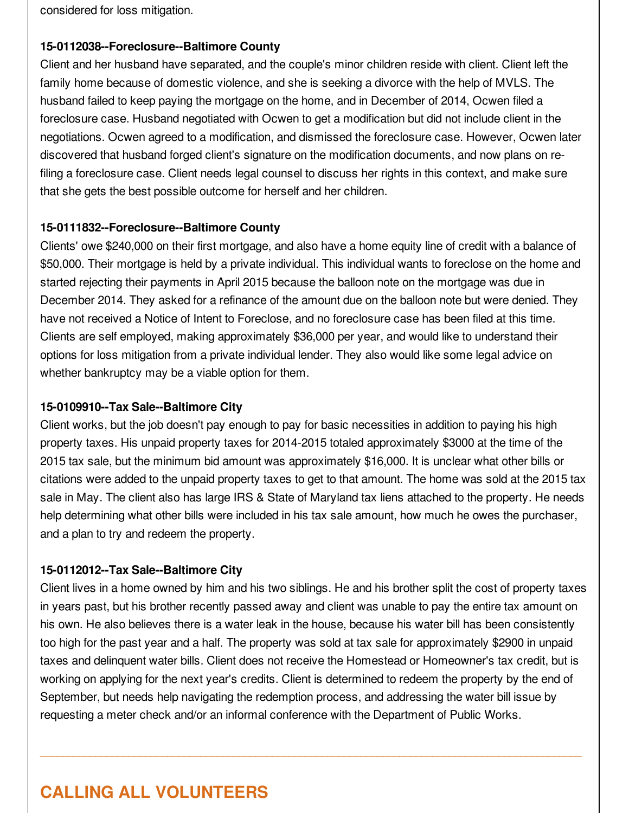considered for loss mitigation.

### **15-0112038--Foreclosure--Baltimore County**

Client and her husband have separated, and the couple's minor children reside with client. Client left the family home because of domestic violence, and she is seeking a divorce with the help of MVLS. The husband failed to keep paying the mortgage on the home, and in December of 2014, Ocwen filed a foreclosure case. Husband negotiated with Ocwen to get a modification but did not include client in the negotiations. Ocwen agreed to a modification, and dismissed the foreclosure case. However, Ocwen later discovered that husband forged client's signature on the modification documents, and now plans on refiling a foreclosure case. Client needs legal counsel to discuss her rights in this context, and make sure that she gets the best possible outcome for herself and her children.

### **15-0111832--Foreclosure--Baltimore County**

Clients' owe \$240,000 on their first mortgage, and also have a home equity line of credit with a balance of \$50,000. Their mortgage is held by a private individual. This individual wants to foreclose on the home and started rejecting their payments in April 2015 because the balloon note on the mortgage was due in December 2014. They asked for a refinance of the amount due on the balloon note but were denied. They have not received a Notice of Intent to Foreclose, and no foreclosure case has been filed at this time. Clients are self employed, making approximately \$36,000 per year, and would like to understand their options for loss mitigation from a private individual lender. They also would like some legal advice on whether bankruptcy may be a viable option for them.

### **15-0109910--Tax Sale--Baltimore City**

Client works, but the job doesn't pay enough to pay for basic necessities in addition to paying his high property taxes. His unpaid property taxes for 2014-2015 totaled approximately \$3000 at the time of the 2015 tax sale, but the minimum bid amount was approximately \$16,000. It is unclear what other bills or citations were added to the unpaid property taxes to get to that amount. The home was sold at the 2015 tax sale in May. The client also has large IRS & State of Maryland tax liens attached to the property. He needs help determining what other bills were included in his tax sale amount, how much he owes the purchaser, and a plan to try and redeem the property.

### **15-0112012--Tax Sale--Baltimore City**

Client lives in a home owned by him and his two siblings. He and his brother split the cost of property taxes in years past, but his brother recently passed away and client was unable to pay the entire tax amount on his own. He also believes there is a water leak in the house, because his water bill has been consistently too high for the past year and a half. The property was sold at tax sale for approximately \$2900 in unpaid taxes and delinquent water bills. Client does not receive the Homestead or Homeowner's tax credit, but is working on applying for the next year's credits. Client is determined to redeem the property by the end of September, but needs help navigating the redemption process, and addressing the water bill issue by requesting a meter check and/or an informal conference with the Department of Public Works.

 $\mathcal{L}_\mathcal{L} = \{ \mathcal{L}_\mathcal{L} = \{ \mathcal{L}_\mathcal{L} = \{ \mathcal{L}_\mathcal{L} = \{ \mathcal{L}_\mathcal{L} = \{ \mathcal{L}_\mathcal{L} = \{ \mathcal{L}_\mathcal{L} = \{ \mathcal{L}_\mathcal{L} = \{ \mathcal{L}_\mathcal{L} = \{ \mathcal{L}_\mathcal{L} = \{ \mathcal{L}_\mathcal{L} = \{ \mathcal{L}_\mathcal{L} = \{ \mathcal{L}_\mathcal{L} = \{ \mathcal{L}_\mathcal{L} = \{ \mathcal{L}_\mathcal{$ 

# **CALLING ALL VOLUNTEERS**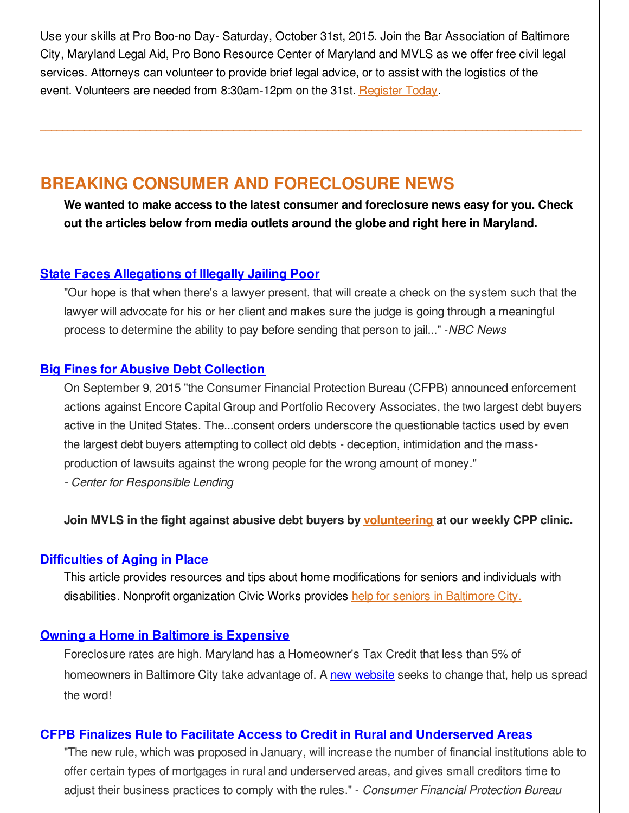Use your skills at Pro Boo-no Day- Saturday, October 31st, 2015. Join the Bar Association of Baltimore City, Maryland Legal Aid, Pro Bono Resource Center of Maryland and MVLS as we offer free civil legal services. Attorneys can volunteer to provide brief legal advice, or to assist with the logistics of the event. Volunteers are needed from 8:30am-12pm on the 31st. [Register](http://r20.rs6.net/tn.jsp?f=001y1ltD-1ldJDzDiVwNHG-Es5HooYJqU2RTJRjSvwn_LiyjeQXwVNZuKNIhDq01SUTYxOSwo7dl2cJeL0102GUan1mgkeOw8QrPnCqlS6ukBthPXKcmn0p9xLDfFyx5F1dqlcPg6ErSo3WtjbHF_ZAdx0Bt3xmfClhU5oyvUz4ay52TYypB3WGIBebqQ7bKy6SVkJHkw9tGBM-bS9Cj3u3FBqmHOC_00Yw06kmVKBN3UOirx83r-MEykuTZtO-9LIaQF5BaSrHSY_PJ-4RbyNaTdoWvIwn_C8ArdenO3219TV71aUg3jOwRvWX47uTTP1cnJ_Va8zEUm7W19J0LBTdktso92ym68VhSGx98nm3XuXoDZz7bBYrdF-OsO2tTKVEhP6oSYcCK6tCTQTAk6p_FHgX3ur0suqt6UXTVa-Y0JmBBZFoDEPJng0Sp2oIo3Oj_2WDzbHgKYQ=&c=&ch=) Today.

\_\_\_\_\_\_\_\_\_\_\_\_\_\_\_\_\_\_\_\_\_\_\_\_\_\_\_\_\_\_\_\_\_\_\_\_\_\_\_\_\_\_\_\_\_\_\_\_\_\_\_\_\_\_\_\_\_\_\_\_\_\_\_\_\_\_\_\_\_\_\_\_\_\_\_\_\_\_\_\_\_\_\_\_\_\_\_\_\_\_\_\_\_\_\_\_\_\_

## **BREAKING CONSUMER AND FORECLOSURE NEWS**

**We wanted to make access to the latest consumer and foreclosure news easy for you. Check out the articles below from media outlets around the globe and right here in Maryland.**

### **State Faces [Allegations](http://r20.rs6.net/tn.jsp?f=001y1ltD-1ldJDzDiVwNHG-Es5HooYJqU2RTJRjSvwn_LiyjeQXwVNZuKNIhDq01SUTywlzok6wCRGR0Vxc3mqchXkxxKFozAm9JQAo7QO2PCUAwWiPHca1AUFo8nxjFqNfIkGZQeYuMtmSEyrPq8pYGgqCcvCPgkVZfdjftRozq3O09R1mEsNGxL9oG8SDapJpzk01-sWZbtU8bQC54N3n2mnPnaO1kb_tvORZQaDW2bIs4d9JleHcueTBJOpGVgUq9c-RhciANmxfu-gYWQ2OwBDW1sf05lsbxsyqHIrjOspLHBOYQ4rGJQyllrWOMfX9zchycg5x68z7_Apij2iFkn9T-FIS2ugDezF2sq7ZGL-NY3dmvdc88hj3zkk9vWngtF1t0FBJUAYCg9oKEr9huHbpp5WssWOLc1F1G9Znw31dXpKlpfnDq-ikhcBWNJf0tJkvZTHQVbh7HWWv-EsxBilHwkfueHjs&c=&ch=) of Illegally Jailing Poor**

"Our hope is that when there's a lawyer present, that will create a check on the system such that the lawyer will advocate for his or her client and makes sure the judge is going through a meaningful process to determine the ability to pay before sending that person to jail..." -*NBC News*

### **Big Fines for Abusive Debt [Collection](http://r20.rs6.net/tn.jsp?f=001y1ltD-1ldJDzDiVwNHG-Es5HooYJqU2RTJRjSvwn_LiyjeQXwVNZuKNIhDq01SUTyGDhxk-8ONQmr4evgm43aJRiVGbyteIjSdNrZhVAErSZVEFYUn5rx2pYuDkVTGxFEoZrjCB1sH8w6BmWDHxivSPb5iIPZvfR2XEbM7u91RHKMSyvOuaDVIakXxQE4qdByoENZas58UVpPudnY9mCRowhyj2WXnFxgrCwBjGoZsN28M-e9FkTR57UmaZIL4cQrTqYCXZF9oALr1wim7O_e4boykhkbenPsL34y_VEc-6Ny3vbHKSzBrhaL_-w-rs0yIougpGtSMibuXB_u_5ZNtE24myJS70EL-NjP9WcjkN-zvZk1MVgepRjvNYgHRBcIbREo_qJo5q_11D8XrG136z9Bs4P0fOZtjj2XP4EElwuvv0b3R6HdcDcEiGrGeq87SlN52tP-liBZ6MlzMmw51Cd1fi8EMnce31Gd6RtoGH3p5ocgP4ysA==&c=&ch=)**

On September 9, 2015 "the Consumer Financial Protection Bureau (CFPB) announced enforcement actions against Encore Capital Group and Portfolio Recovery Associates, the two largest debt buyers active in the United States. The...consent orders underscore the questionable tactics used by even the largest debt buyers attempting to collect old debts - deception, intimidation and the massproduction of lawsuits against the wrong people for the wrong amount of money."

*- Center for Responsible Lending*

**Join MVLS in the fight against abusive debt buyers by [volunteering](http://r20.rs6.net/tn.jsp?f=001y1ltD-1ldJDzDiVwNHG-Es5HooYJqU2RTJRjSvwn_LiyjeQXwVNZuKNIhDq01SUTQo5vNDXe7768I0YN0v9R1EKmXYkCrKtnqzsCOMROJFMGpy6AyVOTM819YL_qVylAwJuVeDt79SdwX0xeD7SSYpKXNqjuazvFX87dgxcSZ4EmtHageGBkUy-IlYFUXy3qc5tr5HukHPLDUrFwzMF8gW6Fg-mRIp3EdOX2QfVDIobboN_dFJwiv8bE-h5Uj2PrmJ7yqWjGvjTOXAlSG3jtKLfiwT_E66qb3JHw5AQ1NFvTCSwelQMPBueGzimUjEMsfmB4e7IqKNqED0PMtG4IMzkRBiTcVN8NzLgixmVhIs0jv3hOB1w6TFPNyO4DwbCXZ0bZbVExeSgQJ_76o-QJjXbRlUNaViQkggeq4WGDkZM=&c=&ch=) at our weekly CPP clinic.**

### **[Difficulties](http://r20.rs6.net/tn.jsp?f=001y1ltD-1ldJDzDiVwNHG-Es5HooYJqU2RTJRjSvwn_LiyjeQXwVNZuKNIhDq01SUTbb3fiK-S9BdsDAbiqzzYoAZwI_KaTFXPwtdNf0mqR-rBCPDMfsnapYWyhDLxcew6v__gidjMSKgoIAWhwK-gEJ24y96sZkhhEkKf1TjnLjWrmXX63D8wkVUJal2jmOjMlFLMqlx0mk-KERcvunztotgyTukvG2EM2occUKs7TfeyLO9WIKxYJjYtekHF6qv_Z1jtNRarHHk_z-ReZmKjRJfs64uHV_GVc1ZVeFCm-tHbRKzSiC62STiXNBBTJifz_yU33NYcpCWWqskHPrz4N7D8czgB3HQ3tP_E-J5dBFYrIt6hTDspzPFANXEplhH-I48yQpJ0LjhEeDxMfvgCrbt5owfSDakEKtAJRJheemCBzHsRhur5kxXxSFKTBtX-emd__EtL0-ZO-6d3X-7weg==&c=&ch=) of Aging in Place**

This article provides resources and tips about home modifications for seniors and individuals with disabilities. Nonprofit organization Civic Works provides help for seniors in [Baltimore](http://r20.rs6.net/tn.jsp?f=001y1ltD-1ldJDzDiVwNHG-Es5HooYJqU2RTJRjSvwn_LiyjeQXwVNZuKNIhDq01SUTgoRtS4KO3HiZlAUhSvPsHxQSBQO72vdb6q3up4VATTIomboDtAUPHoZs5u9QHuO1uSUYs0t22ShKuQRqLBM0E9HndJJ3s5zHV26o9-djbHG8UFng9GOk-fPd2DtKqcPFuCttkpvxSCFhw6t5NJr4jlPN-yGZFQbk-XVZFvDSTN9_zxY_8JqqGKrp2-DKWs1dJoTXaSiuSzu0p_oe7Msj1BcHgRC35Gn4YZicpKp48GGa5OYGGq8u7RBcZ9j3jDzgm1VjDAOGj97aYlM8dmK0PH00KaEMHI9kM3bkhttT1MbFBWS2R_1F7CGNq2BF62Fu&c=&ch=) City.

### **Owning a Home in Baltimore is [Expensive](http://r20.rs6.net/tn.jsp?f=001y1ltD-1ldJDzDiVwNHG-Es5HooYJqU2RTJRjSvwn_LiyjeQXwVNZuKNIhDq01SUTL2Lh7ENtbpmbgd7b4d_4AeZBTfHkIFQhGiie7xjdYscEDK_chUquX-q2DgekwKazh1CI60tBvXk8WCBI1Qg6ixZldi-2MUXAjK6_OxlY_Px74g5KGXX3QmVivzpAfy6-Efzc3TnQTbqje-sVP0K5B0ohhiyxW2-ziFH79am-jhy2b-QwwseBODTzmLZZ2qEKWqNJQB7Aw8V_5gSUDpb2c4-P6qDNpP-2yU2E_2PtEEN-RpRtXx2FxszBO4tbcYoTe5VF6CQBaFMuMHjpcJe3WOI1RtcemZwWFH211K3mV-sH3I-Y6mDEbhiLvbHRPb_5cHYjT_Rzdqg=&c=&ch=)**

Foreclosure rates are high. Maryland has a Homeowner's Tax Credit that less than 5% of homeowners in Baltimore City take advantage of. A new [website](http://r20.rs6.net/tn.jsp?f=001y1ltD-1ldJDzDiVwNHG-Es5HooYJqU2RTJRjSvwn_LiyjeQXwVNZuKNIhDq01SUTL2Lh7ENtbpmbgd7b4d_4AeZBTfHkIFQhGiie7xjdYscEDK_chUquX-q2DgekwKazh1CI60tBvXk8WCBI1Qg6ixZldi-2MUXAjK6_OxlY_Px74g5KGXX3QmVivzpAfy6-Efzc3TnQTbqje-sVP0K5B0ohhiyxW2-ziFH79am-jhy2b-QwwseBODTzmLZZ2qEKWqNJQB7Aw8V_5gSUDpb2c4-P6qDNpP-2yU2E_2PtEEN-RpRtXx2FxszBO4tbcYoTe5VF6CQBaFMuMHjpcJe3WOI1RtcemZwWFH211K3mV-sH3I-Y6mDEbhiLvbHRPb_5cHYjT_Rzdqg=&c=&ch=) seeks to change that, help us spread the word!

### **CFPB Finalizes Rule to Facilitate Access to Credit in Rural and [Underserved](http://r20.rs6.net/tn.jsp?f=001y1ltD-1ldJDzDiVwNHG-Es5HooYJqU2RTJRjSvwn_LiyjeQXwVNZuKNIhDq01SUTaGEz62eTmu2u37z0OUfjQidNPZBr3tIpj6jhETUP1zGAUOOvCXki2803B4ATkAytsKCTIWcRyxwEv6YKsfYUKSJWkjzjWSEne3yGQTkleLPxZLo-7uxE05hY8koFXUMXsNO6pDaPu2-JMxnnu7uRwUqcIXmy0vB1rwfti97rc7SvWSi2DYqysbqX_O9SzUkRg-fRioiv7pqW3jkD7qMbZiyBsFQXfjK_wFsARFyb64n2CydWJb5g5eMvZhUdXyRSXWoaP3j-7DJO20TetWBbKZDDdkEOn-nXkhol7qituN_eJciOh_TNM0uLEupW3-yj6y68WNx6Xtqg9qW7So9VNlJHs7WynHvtSebAy-aX0iJZ1XQgZyILbT0aRYSxzgTZzjGbT803-I0n_ncYYuTth8DIwFNg0GfB_0GKaBZ6WuSgAq6HSWY0AHXaY-HyrmY4&c=&ch=) Areas**

"The new rule, which was proposed in January, will increase the number of financial institutions able to offer certain types of mortgages in rural and underserved areas, and gives small creditors time to adjust their business practices to comply with the rules." - *Consumer Financial Protection Bureau*